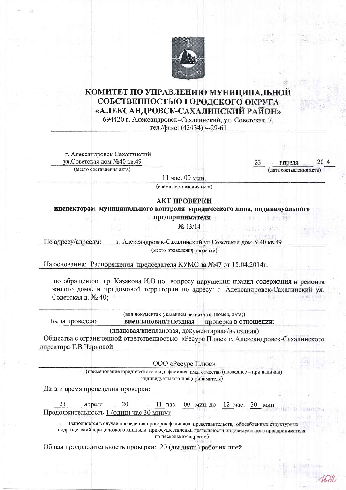

## КОМИТЕТ ПО УПРАВЛЕНИЮ МУНИЦИПАЛЬНОЙ СОБСТВЕННОСТЬЮ ГОРОДСКОГО ОКРУГА «АЛЕКСАНДРОВСК-САХАЛИНСКИЙ РАЙОН»

694420 г. Александровск-Сахалинский, ул. Советская, 7,

тел./факс: (42434) 4-29-61

г. Александровск-Сахалинский ул. Советская дом №40 кв.49

(место составления акта)

апреля (лата составления акта)

11 час. 00 мин.

(время составления акта)

## АКТ ПРОВЕРКИ

инспектором муниципального контроля юридического лица, индивидуального предпринимателя

No 13/14

По адресу/адресам: г. Александровск-Сахалинский ул. Советская дом №40 кв.49

(место проведения проверки)

На основании: Распоряжения председателя КУМС за №47 от 15.04.2014г.

по обращению гр. Казакова И.В по вопросу нарушения правил содержания и ремонта жилого дома, и придомовой территории по адресу: г. Александровск-Сахалинский ул. Советская д. № 40:

|                | (вид документа с указанием реквизитов (номер, дата)) |                       |  |
|----------------|------------------------------------------------------|-----------------------|--|
| оыла проведена | внеплановая/выездная                                 | проверка в отношении: |  |
|                |                                                      |                       |  |

(плановая/внеплановая, документарная/выездная)

Общества с ограниченной ответственностью «Ресурс Плюс» г. Александровск-Сахалинского директора Т.В.Черновой

ООО «Ресурс Плюс»

(наименование юридического лица, фамилия, имя, отчество (последнее - при наличии) индивидуального предпринимателя)

Дата и время проведения проверки:

00 мин. до апреля 20  $11$  час.  $12$  час.  $30<sup>2</sup>$ мин. Продолжительность 1 (один) час 30 минут

(заполняется в случае проведения проверок филиалов, представительств, обособленных структурных подразделений юридического лица или при осуществлении деятельности индивидуального предпринимателя по нескольким адресам)

Общая продолжительность проверки: 20 (двадцать) рабочих дней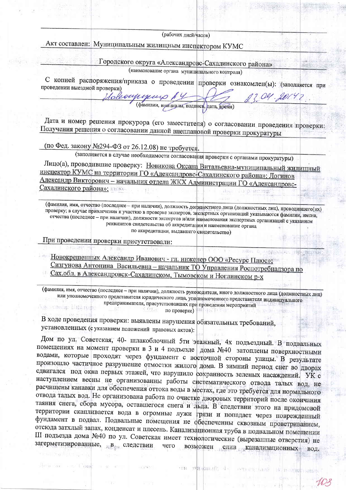(рабочих дней/часов)

Акт составлен: Муниципальным жилищным инспектором КУМС

Городского округа «Александровс-Сахалинского района»

(наименование органа муниципального контроля)

С копией распоряжения/приказа о проведении проверки ознакомлен(ы): (заполняется при проведении выездной проверки)

(фамилии, инициалы, подписи, дата, время)

OG1.201

Against May 198

**DEPENDING SHED** 

Дата и номер решения прокурора (его заместителя) о согласовании проведения проверки: Получения решения о согласовании данной внеплановой проверки прокуратуры

(по Фед. закону №294-ФЗ от 26.12.08) не требуется.

Holeoupyn

(заполняется в случае необходимости согласования проверки с органами прокуратуры)

Лицо(а), проводившие проверку: Новикова Оксана Витальевна-муниципальный жилищный инспектор КУМС на территории ГО «Александровс-Сахалинского района»; Логинов Александр Викторович - начальник отдела ЖКХ Администрации ГО «Александровс-Сахалинского района»;

(фамилия, имя, отчество (последнее - при наличии), должность должностного лица (должностных лиц), проводившего(их) проверку; в случае привлечения к участию в проверке экспертов, экспертных организаций указываются фамилии, имена, отчества (последнее - при наличии), должности экспертов и/или наименования экспертных организаций с указанием реквизитов свидетельства об аккредитации и наименование органа по аккредитации, выдавшего свидетельство)

При проведении проверки присутствовали:

**CVELe** 

Новокрещенных Александр Иванович - гл. инженер ООО «Ресурс Плюс»; Сизгунова Антонина Васильевна - начальник ТО Управления Роспотребнадзора по Сах.обл. в Александровск-Сахалинском, Тымовском и Ноглинском р-х

(фамилия, имя, отчество (последнее - при наличии), должность руководителя, иного должностного лица (должностных лиц) или уполномоченного представителя юридического лица, уполномоченного представителя индивидуального предпринимателя, присутствовавших при проведении мероприятий **1. 新設 官山県** s titul по проверке)

В ходе проведения проверки: выявлены нарушения обязательных требований, установленных (с указанием положений правовых актов):

Дом по ул. Советская, 40- шлакоблочный 5ти этажный, 4х подъездный. В подвальных помещениях на момент проверки в 3 и 4 подъезде дома №40 затоплены поверхностными водами, которые проходят через фундамент с восточной стороны улицы. В результате произошло частичное разрушение отмостки жилого дома. В зимний период снег во дворах сдвигался под окна первых этажей, что нарушило сохранность зеленых насаждений. УК с наступлением весны не организованны работы систематического отвода талых вод, не расчищены канавки для обеспечения оттока воды в местах, где это требуется для нормального отвода талых вод. Не организована работа по очистке дворовых территорий после окончания таяния снега, сбора мусора, оставшегося снега и льда. В следствии этого на придомовой территории скапливается вода в огромные лужи грязи и попадает через поврежденный фундамент в подвал. Подвальные помещения не обеспеченны сквозным проветриванием, отсюда затхлый запах, конденсат и плесень. Канализационная труба в подвальном помещении III подъезда дома №40 по ул. Советская имеет технологические (вырезанные отверстия) не загерметизированные, в в следствии возможен слив канализационных вод. чего

THE FRANCISCO S.